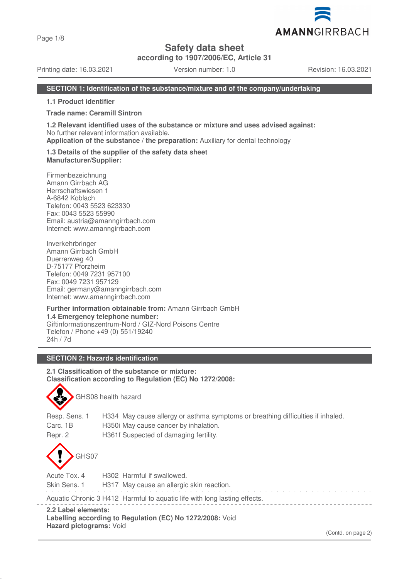Page 1/8

# **Safety data sheet**

**according to 1907/2006/EC, Article 31**

Printing date: 16.03.2021 Version number: 1.0 Revision: 16.03.2021

# **SECTION 1: Identification of the substance/mixture and of the company/undertaking**

**1.1 Product identifier**

**Trade name: Ceramill Sintron**

**1.2 Relevant identified uses of the substance or mixture and uses advised against:** No further relevant information available.

**Application of the substance / the preparation:** Auxiliary for dental technology

**1.3 Details of the supplier of the safety data sheet Manufacturer/Supplier:**

Firmenbezeichnung Amann Girrbach AG Herrschaftswiesen 1 A-6842 Koblach Telefon: 0043 5523 623330 Fax: 0043 5523 55990 Email: austria@amanngirrbach.com Internet: www.amanngirrbach.com

Inverkehrbringer Amann Girrbach GmbH Duerrenweg 40 D-75177 Pforzheim Telefon: 0049 7231 957100 Fax: 0049 7231 957129 Email: germany@amanngirrbach.com Internet: www.amanngirrbach.com

**Further information obtainable from:** Amann Girrbach GmbH **1.4 Emergency telephone number:** Giftinformationszentrum-Nord / GIZ-Nord Poisons Centre Telefon / Phone +49 (0) 551/19240 24h / 7d

# **SECTION 2: Hazards identification**

GHS08 health hazard

**2.1 Classification of the substance or mixture: Classification according to Regulation (EC) No 1272/2008:**

| Resp. Sens. 1                                                                                               | H334 May cause allergy or asthma symptoms or breathing difficulties if inhaled. |  |  |  |
|-------------------------------------------------------------------------------------------------------------|---------------------------------------------------------------------------------|--|--|--|
| Carc. 1B                                                                                                    | H350 May cause cancer by inhalation.                                            |  |  |  |
| Repr. 2                                                                                                     | H361f Suspected of damaging fertility.                                          |  |  |  |
| GHS07                                                                                                       |                                                                                 |  |  |  |
| Acute Tox. 4                                                                                                | H302 Harmful if swallowed.                                                      |  |  |  |
| Skin Sens. 1                                                                                                | H317 May cause an allergic skin reaction.                                       |  |  |  |
| Aquatic Chronic 3 H412 Harmful to aquatic life with long lasting effects.                                   |                                                                                 |  |  |  |
| 2.2 Label elements:<br>Labelling according to Regulation (EC) No 1272/2008: Void<br>Hazard pictograms: Void |                                                                                 |  |  |  |



(Contd. on page 2)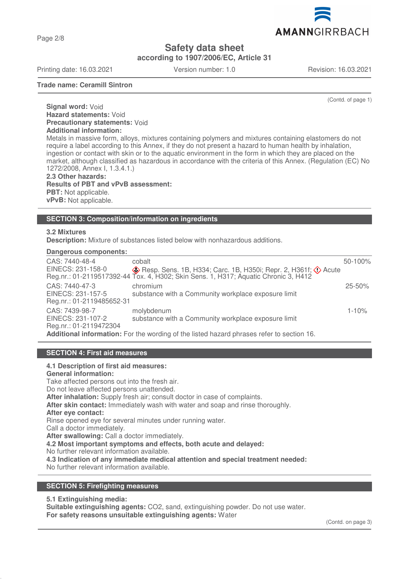Page 2/8

**Safety data sheet**

**according to 1907/2006/EC, Article 31**

Printing date: 16.03.2021 Version number: 1.0 Revision: 16.03.2021

**Trade name: Ceramill Sintron**

(Contd. of page 1)

**Signal word:** Void **Hazard statements:** Void **Precautionary statements:** Void **Additional information:**

Metals in massive form, alloys, mixtures containing polymers and mixtures containing elastomers do not require a label according to this Annex, if they do not present a hazard to human health by inhalation, ingestion or contact with skin or to the aquatic environment in the form in which they are placed on the market, although classified as hazardous in accordance with the criteria of this Annex. (Regulation (EC) No 1272/2008, Annex I, 1.3.4.1.)

**2.3 Other hazards: Results of PBT and vPvB assessment: PBT:** Not applicable. **vPvB:** Not applicable.

# **SECTION 3: Composition/information on ingredients**

## **3.2 Mixtures**

**Description:** Mixture of substances listed below with nonhazardous additions.

### **Dangerous components:**

| CAS: 7440-48-4                                                                            | cobalt                                                                                     | 50-100%    |  |  |
|-------------------------------------------------------------------------------------------|--------------------------------------------------------------------------------------------|------------|--|--|
| EINECS: 231-158-0                                                                         | $\diamondsuit$ Resp. Sens. 1B, H334; Carc. 1B, H350i; Repr. 2, H361f; $\diamondsuit$ Acute |            |  |  |
|                                                                                           | Reg.nr.: 01-2119517392-44 Tox. 4, H302; Skin Sens. 1, H317; Aquatic Chronic 3, H412        |            |  |  |
| CAS: 7440-47-3                                                                            | chromium                                                                                   | $25 - 50%$ |  |  |
| EINECS: 231-157-5                                                                         | substance with a Community workplace exposure limit                                        |            |  |  |
| Reg.nr.: 01-2119485652-31                                                                 |                                                                                            |            |  |  |
| CAS: 7439-98-7                                                                            | molybdenum                                                                                 | $1 - 10%$  |  |  |
| EINECS: 231-107-2                                                                         | substance with a Community workplace exposure limit                                        |            |  |  |
| Reg.nr.: 01-2119472304                                                                    |                                                                                            |            |  |  |
| Additional information: For the wording of the listed hazard phrases refer to section 16. |                                                                                            |            |  |  |

### **SECTION 4: First aid measures**

### **4.1 Description of first aid measures:**

**General information:** Take affected persons out into the fresh air.

Do not leave affected persons unattended.

**After inhalation:** Supply fresh air; consult doctor in case of complaints.

**After skin contact:** Immediately wash with water and soap and rinse thoroughly.

**After eye contact:**

Rinse opened eye for several minutes under running water.

Call a doctor immediately.

**After swallowing:** Call a doctor immediately.

**4.2 Most important symptoms and effects, both acute and delayed:**

No further relevant information available.

**4.3 Indication of any immediate medical attention and special treatment needed:**

No further relevant information available.

### **SECTION 5: Firefighting measures**

**5.1 Extinguishing media:**

**Suitable extinguishing agents:** CO2, sand, extinguishing powder. Do not use water. **For safety reasons unsuitable extinguishing agents:** Water

(Contd. on page 3)

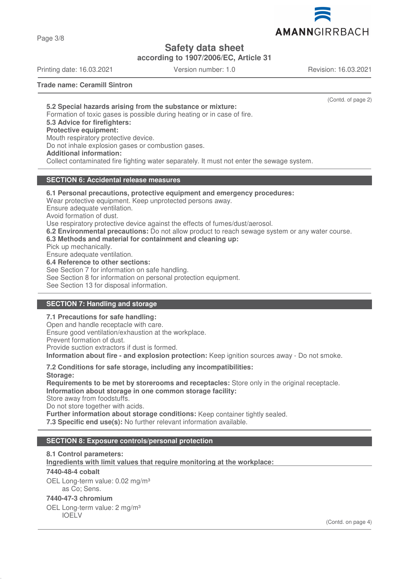AMANNGIRRBACH

**Safety data sheet**

**according to 1907/2006/EC, Article 31**

Printing date: 16.03.2021 Version number: 1.0 Revision: 16.03.2021

**Trade name: Ceramill Sintron**

(Contd. of page 2)

**5.2 Special hazards arising from the substance or mixture:** Formation of toxic gases is possible during heating or in case of fire. **5.3 Advice for firefighters: Protective equipment:** Mouth respiratory protective device. Do not inhale explosion gases or combustion gases. **Additional information:** Collect contaminated fire fighting water separately. It must not enter the sewage system.

# **SECTION 6: Accidental release measures**

**6.1 Personal precautions, protective equipment and emergency procedures:** Wear protective equipment. Keep unprotected persons away. Ensure adequate ventilation. Avoid formation of dust. Use respiratory protective device against the effects of fumes/dust/aerosol. **6.2 Environmental precautions:** Do not allow product to reach sewage system or any water course. **6.3 Methods and material for containment and cleaning up:** Pick up mechanically. Ensure adequate ventilation. **6.4 Reference to other sections:** See Section 7 for information on safe handling. See Section 8 for information on personal protection equipment.

See Section 13 for disposal information.

# **SECTION 7: Handling and storage**

### **7.1 Precautions for safe handling:**

Open and handle receptacle with care. Ensure good ventilation/exhaustion at the workplace. Prevent formation of dust. Provide suction extractors if dust is formed. **Information about fire - and explosion protection:** Keep ignition sources away - Do not smoke.

**7.2 Conditions for safe storage, including any incompatibilities: Storage:**

**Requirements to be met by storerooms and receptacles:** Store only in the original receptacle. **Information about storage in one common storage facility:**

Store away from foodstuffs.

Do not store together with acids.

**Further information about storage conditions:** Keep container tightly sealed.

**7.3 Specific end use(s):** No further relevant information available.

# **SECTION 8: Exposure controls/personal protection**

### **8.1 Control parameters:**

**Ingredients with limit values that require monitoring at the workplace:** 

### **7440-48-4 cobalt**

OEL Long-term value: 0.02 mg/m<sup>3</sup> as Co; Sens.

### **7440-47-3 chromium**

OEL Long-term value: 2 mg/m<sup>3</sup> IOELV

(Contd. on page 4)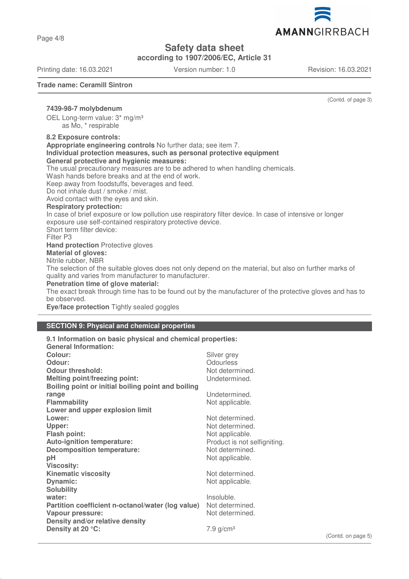Page 4/8

**Safety data sheet**

**according to 1907/2006/EC, Article 31**

Printing date: 16.03.2021 Version number: 1.0 Revision: 16.03.2021

**Trade name: Ceramill Sintron**

(Contd. of page 3)

**7439-98-7 molybdenum** OEL Long-term value: 3\* mg/m³ as Mo, \* respirable

#### **8.2 Exposure controls:**

**Appropriate engineering controls** No further data; see item 7.

**Individual protection measures, such as personal protective equipment General protective and hygienic measures:**

The usual precautionary measures are to be adhered to when handling chemicals.

Wash hands before breaks and at the end of work.

Keep away from foodstuffs, beverages and feed.

Do not inhale dust / smoke / mist.

Avoid contact with the eyes and skin.

# **Respiratory protection:**

In case of brief exposure or low pollution use respiratory filter device. In case of intensive or longer exposure use self-contained respiratory protective device.

Short term filter device:

Filter P3

**Hand protection** Protective gloves

**Material of gloves:**

Nitrile rubber, NBR

The selection of the suitable gloves does not only depend on the material, but also on further marks of quality and varies from manufacturer to manufacturer.

# **Penetration time of glove material:**

The exact break through time has to be found out by the manufacturer of the protective gloves and has to be observed.

**Eye/face protection** Tightly sealed goggles

### **SECTION 9: Physical and chemical properties**

## **9.1 Information on basic physical and chemical properties:**

| <b>General Information:</b>                                       |                              |
|-------------------------------------------------------------------|------------------------------|
| Colour:                                                           | Silver grey                  |
| Odour:                                                            | <b>Odourless</b>             |
| <b>Odour threshold:</b>                                           | Not determined.              |
| <b>Melting point/freezing point:</b>                              | Undetermined.                |
| Boiling point or initial boiling point and boiling                |                              |
| range                                                             | Undetermined.                |
| <b>Flammability</b>                                               | Not applicable.              |
| Lower and upper explosion limit                                   |                              |
| Lower:                                                            | Not determined.              |
| Upper:                                                            | Not determined.              |
| <b>Flash point:</b>                                               | Not applicable.              |
| <b>Auto-ignition temperature:</b>                                 | Product is not selfigniting. |
| <b>Decomposition temperature:</b>                                 | Not determined.              |
| pH                                                                | Not applicable.              |
| <b>Viscosity:</b>                                                 |                              |
| <b>Kinematic viscosity</b>                                        | Not determined.              |
| Dynamic:                                                          | Not applicable.              |
| <b>Solubility</b>                                                 |                              |
| water:                                                            | Insoluble.                   |
| Partition coefficient n-octanol/water (log value) Not determined. |                              |
| Vapour pressure:                                                  | Not determined.              |
| Density and/or relative density                                   |                              |
| Density at 20 °C:                                                 | $7.9$ g/cm <sup>3</sup>      |

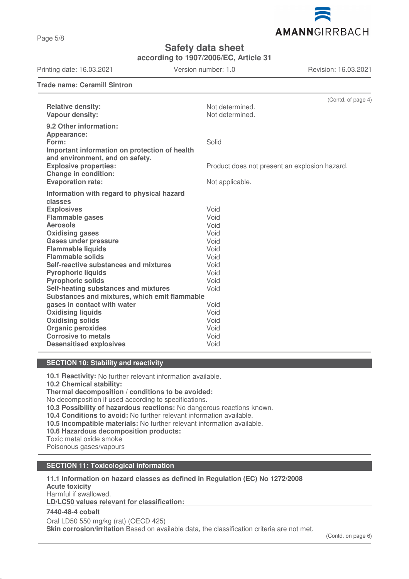Page 5/8

**Safety data sheet**

**according to 1907/2006/EC, Article 31**

Printing date: 16.03.2021 Version number: 1.0 Revision: 16.03.2021

**Trade name: Ceramill Sintron**

| <b>Relative density:</b><br>Vapour density:                                                     | (Contd. of page 4)<br>Not determined.<br>Not determined. |
|-------------------------------------------------------------------------------------------------|----------------------------------------------------------|
| 9.2 Other information:<br>Appearance:<br>Form:<br>Important information on protection of health | Solid                                                    |
| and environment, and on safety.<br><b>Explosive properties:</b><br><b>Change in condition:</b>  | Product does not present an explosion hazard.            |
| <b>Evaporation rate:</b>                                                                        | Not applicable.                                          |
| Information with regard to physical hazard                                                      |                                                          |
| classes                                                                                         |                                                          |
| <b>Explosives</b>                                                                               | Void                                                     |
| <b>Flammable gases</b>                                                                          | Void                                                     |
| <b>Aerosols</b>                                                                                 | Void                                                     |
| <b>Oxidising gases</b>                                                                          | Void                                                     |
| <b>Gases under pressure</b>                                                                     | Void                                                     |
| <b>Flammable liquids</b>                                                                        | Void                                                     |
| <b>Flammable solids</b>                                                                         | Void                                                     |
| Self-reactive substances and mixtures                                                           | Void                                                     |
| <b>Pyrophoric liquids</b>                                                                       | Void                                                     |
| <b>Pyrophoric solids</b>                                                                        | Void<br>Void                                             |
| Self-heating substances and mixtures<br>Substances and mixtures, which emit flammable           |                                                          |
| gases in contact with water                                                                     | Void                                                     |
| <b>Oxidising liquids</b>                                                                        | Void                                                     |
| <b>Oxidising solids</b>                                                                         | Void                                                     |
| <b>Organic peroxides</b>                                                                        | Void                                                     |
| <b>Corrosive to metals</b>                                                                      | Void                                                     |
| <b>Desensitised explosives</b>                                                                  | Void                                                     |
|                                                                                                 |                                                          |

# **SECTION 10: Stability and reactivity**

**10.1 Reactivity:** No further relevant information available.

**10.2 Chemical stability:**

**Thermal decomposition / conditions to be avoided:**

No decomposition if used according to specifications.

**10.3 Possibility of hazardous reactions:** No dangerous reactions known.

**10.4 Conditions to avoid:** No further relevant information available.

**10.5 Incompatible materials:** No further relevant information available.

**10.6 Hazardous decomposition products:**

Toxic metal oxide smoke

Poisonous gases/vapours

### **SECTION 11: Toxicological information**

**11.1 Information on hazard classes as defined in Regulation (EC) No 1272/2008 Acute toxicity** Harmful if swallowed.

**LD/LC50 values relevant for classification:** 

# **7440-48-4 cobalt**

Oral LD50 550 mg/kg (rat) (OECD 425) **Skin corrosion/irritation** Based on available data, the classification criteria are not met.

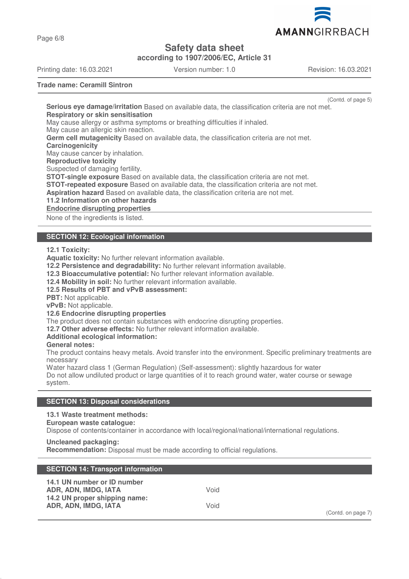

Page 6/8

# **Safety data sheet**

**according to 1907/2006/EC, Article 31**

Printing date: 16.03.2021 Version number: 1.0 Revision: 16.03.2021

**Trade name: Ceramill Sintron**

(Contd. of page 5)

**Serious eye damage/irritation** Based on available data, the classification criteria are not met. **Respiratory or skin sensitisation** May cause allergy or asthma symptoms or breathing difficulties if inhaled. May cause an allergic skin reaction. **Germ cell mutagenicity** Based on available data, the classification criteria are not met. **Carcinogenicity** May cause cancer by inhalation. **Reproductive toxicity** Suspected of damaging fertility. **STOT-single exposure** Based on available data, the classification criteria are not met. **STOT-repeated exposure** Based on available data, the classification criteria are not met. **Aspiration hazard** Based on available data, the classification criteria are not met. **11.2 Information on other hazards Endocrine disrupting properties** 

None of the ingredients is listed.

# **SECTION 12: Ecological information**

**12.1 Toxicity:**

**Aquatic toxicity:** No further relevant information available.

**12.2 Persistence and degradability:** No further relevant information available.

**12.3 Bioaccumulative potential:** No further relevant information available.

**12.4 Mobility in soil:** No further relevant information available.

**12.5 Results of PBT and vPvB assessment:**

**PBT:** Not applicable.

**vPvB:** Not applicable.

**12.6 Endocrine disrupting properties**

The product does not contain substances with endocrine disrupting properties.

**12.7 Other adverse effects:** No further relevant information available.

# **Additional ecological information:**

**General notes:**

The product contains heavy metals. Avoid transfer into the environment. Specific preliminary treatments are necessary

Water hazard class 1 (German Regulation) (Self-assessment): slightly hazardous for water Do not allow undiluted product or large quantities of it to reach ground water, water course or sewage system.

# **SECTION 13: Disposal considerations**

**13.1 Waste treatment methods:**

### **European waste catalogue:**

Dispose of contents/container in accordance with local/regional/national/international regulations.

**Uncleaned packaging:**

**Recommendation:** Disposal must be made according to official regulations.

| <b>SECTION 14: Transport information</b>                                                                     |              |                    |
|--------------------------------------------------------------------------------------------------------------|--------------|--------------------|
| 14.1 UN number or ID number<br>ADR, ADN, IMDG, IATA<br>14.2 UN proper shipping name:<br>ADR, ADN, IMDG, IATA | Void<br>Void | (Contd. on page 7) |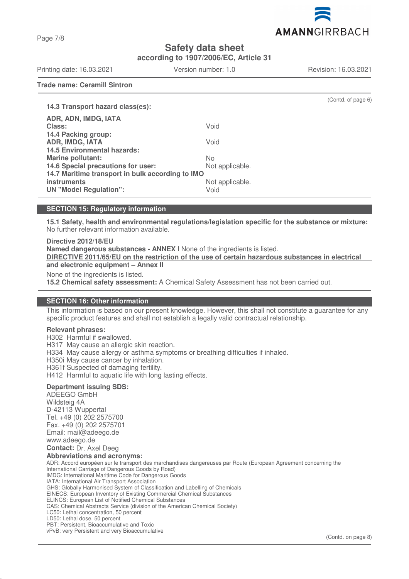AMANNGIRRBACH

**Safety data sheet**

**according to 1907/2006/EC, Article 31**

Printing date: 16.03.2021 Version number: 1.0 Revision: 16.03.2021

**Trade name: Ceramill Sintron**

| 14.3 Transport hazard class(es):                 |                 | (Contd. of page 6) |
|--------------------------------------------------|-----------------|--------------------|
| ADR, ADN, IMDG, IATA                             |                 |                    |
| Class:                                           | Void            |                    |
| 14.4 Packing group:                              |                 |                    |
| <b>ADR, IMDG, IATA</b>                           | Void            |                    |
| <b>14.5 Environmental hazards:</b>               |                 |                    |
| <b>Marine pollutant:</b>                         | No.             |                    |
| 14.6 Special precautions for user:               | Not applicable. |                    |
| 14.7 Maritime transport in bulk according to IMO |                 |                    |
| <b>instruments</b>                               | Not applicable. |                    |
| <b>UN "Model Regulation":</b>                    | Void            |                    |

# **SECTION 15: Regulatory information**

**15.1 Safety, health and environmental regulations/legislation specific for the substance or mixture:** No further relevant information available.

**Directive 2012/18/EU**

**Named dangerous substances - ANNEX I** None of the ingredients is listed.

**DIRECTIVE 2011/65/EU on the restriction of the use of certain hazardous substances in electrical and electronic equipment – Annex II**

None of the ingredients is listed.

**15.2 Chemical safety assessment:** A Chemical Safety Assessment has not been carried out.

# **SECTION 16: Other information**

This information is based on our present knowledge. However, this shall not constitute a guarantee for any specific product features and shall not establish a legally valid contractual relationship.

### **Relevant phrases:**

H302 Harmful if swallowed.

H317 May cause an allergic skin reaction.

H334 May cause allergy or asthma symptoms or breathing difficulties if inhaled.

H350i May cause cancer by inhalation.

H361f Suspected of damaging fertility.

H412 Harmful to aquatic life with long lasting effects.

### **Department issuing SDS:**

ADEEGO GmbH Wildsteig 4A D-42113 Wuppertal Tel. +49 (0) 202 2575700 Fax. +49 (0) 202 2575701 Email: mail@adeego.de www.adeego.de **Contact:** Dr. Axel Deeg **Abbreviations and acronyms:** ADR: Accord européen sur le transport des marchandises dangereuses par Route (European Agreement concerning the International Carriage of Dangerous Goods by Road) IMDG: International Maritime Code for Dangerous Goods IATA: International Air Transport Association GHS: Globally Harmonised System of Classification and Labelling of Chemicals EINECS: European Inventory of Existing Commercial Chemical Substances ELINCS: European List of Notified Chemical Substances CAS: Chemical Abstracts Service (division of the American Chemical Society) LC50: Lethal concentration, 50 percent LD50: Lethal dose, 50 percent PBT: Persistent, Bioaccumulative and Toxic vPvB: very Persistent and very Bioaccumulative